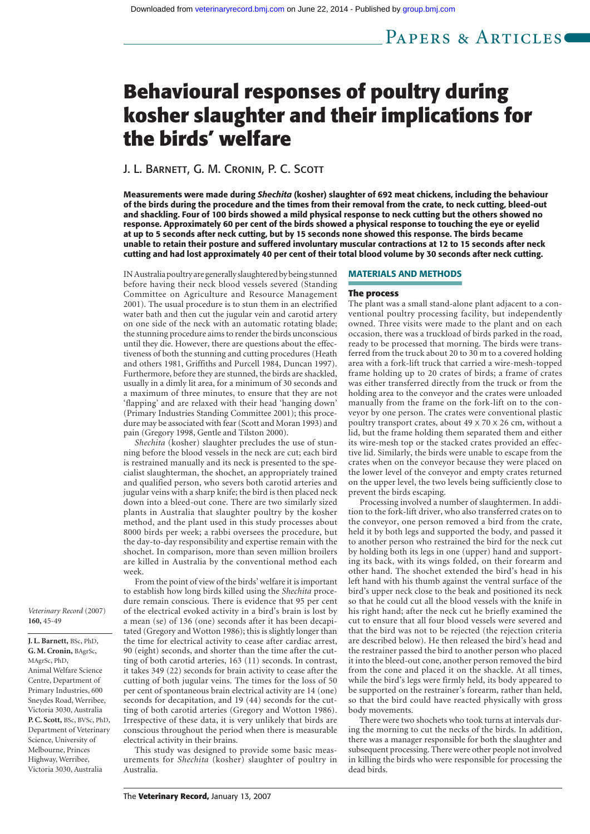# **Behavioural responses of poultry during kosher slaughter and their implications for the birds' welfare**

## J. L. Barnett, G. M. Cronin, P. C. Scott

**Measurements were made during** *Shechita* **(kosher) slaughter of 692 meat chickens, including the behaviour of the birds during the procedure and the times from their removal from the crate, to neck cutting, bleed-out and shackling. Four of 100 birds showed a mild physical response to neck cutting but the others showed no response. Approximately 60 per cent of the birds showed a physical response to touching the eye or eyelid at up to 5 seconds after neck cutting, but by 15 seconds none showed this response. The birds became unable to retain their posture and suffered involuntary muscular contractions at 12 to 15 seconds after neck cutting and had lost approximately 40 per cent of their total blood volume by 30 seconds after neck cutting.**

IN Australia poultry are generally slaughtered by being stunned before having their neck blood vessels severed (Standing Committee on Agriculture and Resource Management 2001). The usual procedure is to stun them in an electrified water bath and then cut the jugular vein and carotid artery on one side of the neck with an automatic rotating blade; the stunning procedure aims to render the birds unconscious until they die. However, there are questions about the effectiveness of both the stunning and cutting procedures (Heath and others 1981, Griffiths and Purcell 1984, Duncan 1997). Furthermore, before they are stunned, the birds are shackled, usually in a dimly lit area, for a minimum of 30 seconds and a maximum of three minutes, to ensure that they are not 'flapping' and are relaxed with their head 'hanging down' (Primary Industries Standing Committee 2001); this procedure may be associated with fear (Scott and Moran 1993) and pain (Gregory 1998, Gentle and Tilston 2000).

*Shechita* (kosher) slaughter precludes the use of stunning before the blood vessels in the neck are cut; each bird is restrained manually and its neck is presented to the specialist slaughterman, the shochet, an appropriately trained and qualified person, who severs both carotid arteries and jugular veins with a sharp knife; the bird is then placed neck down into a bleed-out cone. There are two similarly sized plants in Australia that slaughter poultry by the kosher method, and the plant used in this study processes about 8000 birds per week; a rabbi oversees the procedure, but the day-to-day responsibility and expertise remain with the shochet. In comparison, more than seven million broilers are killed in Australia by the conventional method each week.

From the point of view of the birds' welfare it is important to establish how long birds killed using the *Shechita* procedure remain conscious. There is evidence that 95 per cent of the electrical evoked activity in a bird's brain is lost by a mean (se) of 136 (one) seconds after it has been decapitated (Gregory and Wotton 1986); this is slightly longer than the time for electrical activity to cease after cardiac arrest, 90 (eight) seconds, and shorter than the time after the cutting of both carotid arteries, 163 (11) seconds. In contrast, it takes 349 (22) seconds for brain activity to cease after the cutting of both jugular veins. The times for the loss of 50 per cent of spontaneous brain electrical activity are 14 (one) seconds for decapitation, and 19 (44) seconds for the cutting of both carotid arteries (Gregory and Wotton 1986). Irrespective of these data, it is very unlikely that birds are conscious throughout the period when there is measurable electrical activity in their brains.

This study was designed to provide some basic measurements for *Shechita* (kosher) slaughter of poultry in Australia.

#### **MATERIALS AND METHODS**

#### **The process**

The plant was a small stand-alone plant adjacent to a conventional poultry processing facility, but independently owned. Three visits were made to the plant and on each occasion, there was a truckload of birds parked in the road, ready to be processed that morning. The birds were transferred from the truck about 20 to 30 m to a covered holding area with a fork-lift truck that carried a wire-mesh-topped frame holding up to 20 crates of birds; a frame of crates was either transferred directly from the truck or from the holding area to the conveyor and the crates were unloaded manually from the frame on the fork-lift on to the conveyor by one person. The crates were conventional plastic poultry transport crates, about 49 x 70 x 26 cm, without a lid, but the frame holding them separated them and either its wire-mesh top or the stacked crates provided an effective lid. Similarly, the birds were unable to escape from the crates when on the conveyor because they were placed on the lower level of the conveyor and empty crates returned on the upper level, the two levels being sufficiently close to prevent the birds escaping.

Processing involved a number of slaughtermen. In addition to the fork-lift driver, who also transferred crates on to the conveyor, one person removed a bird from the crate, held it by both legs and supported the body, and passed it to another person who restrained the bird for the neck cut by holding both its legs in one (upper) hand and supporting its back, with its wings folded, on their forearm and other hand. The shochet extended the bird's head in his left hand with his thumb against the ventral surface of the bird's upper neck close to the beak and positioned its neck so that he could cut all the blood vessels with the knife in his right hand; after the neck cut he briefly examined the cut to ensure that all four blood vessels were severed and that the bird was not to be rejected (the rejection criteria are described below). He then released the bird's head and the restrainer passed the bird to another person who placed it into the bleed-out cone, another person removed the bird from the cone and placed it on the shackle. At all times, while the bird's legs were firmly held, its body appeared to be supported on the restrainer's forearm, rather than held, so that the bird could have reacted physically with gross body movements.

There were two shochets who took turns at intervals during the morning to cut the necks of the birds. In addition, there was a manager responsible for both the slaughter and subsequent processing. There were other people not involved in killing the birds who were responsible for processing the dead birds.

*Veterinary Record* (2007) **160,** 45-49

**J. L. Barnett,** BSc, PhD, **G. M. Cronin,** BAgrSc, MAgrSc, PhD, Animal Welfare Science Centre, Department of Primary Industries, 600 Sneydes Road, Werribee, Victoria 3030, Australia **P. C. Scott,** BSc, BVSc, PhD, Department of Veterinary Science, University of Melbourne, Princes Highway, Werribee, Victoria 3030, Australia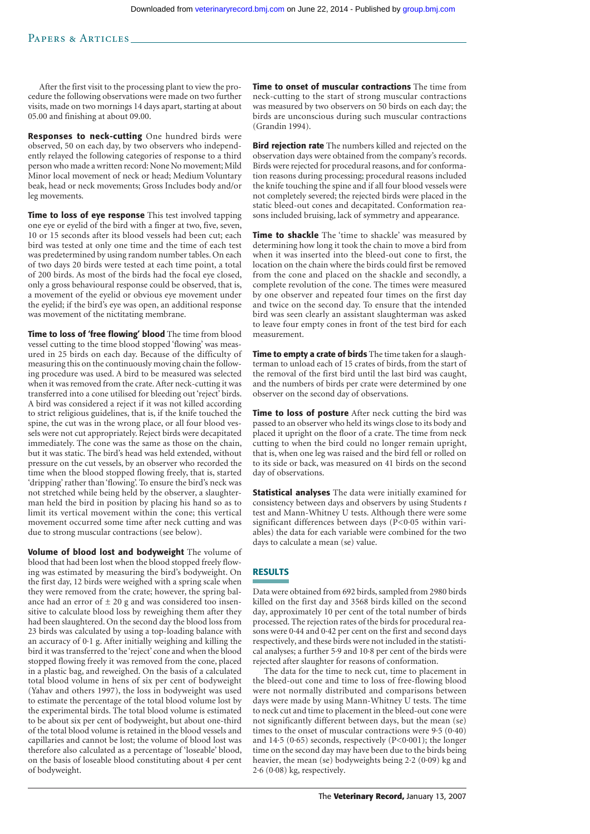After the first visit to the processing plant to view the procedure the following observations were made on two further visits, made on two mornings 14 days apart, starting at about 05.00 and finishing at about 09.00.

**Responses to neck-cutting** One hundred birds were observed, 50 on each day, by two observers who independently relayed the following categories of response to a third person who made a written record: None No movement; Mild Minor local movement of neck or head; Medium Voluntary beak, head or neck movements; Gross Includes body and/or leg movements.

**Time to loss of eye response** This test involved tapping one eye or eyelid of the bird with a finger at two, five, seven, 10 or 15 seconds after its blood vessels had been cut; each bird was tested at only one time and the time of each test was predetermined by using random number tables. On each of two days 20 birds were tested at each time point, a total of 200 birds. As most of the birds had the focal eye closed, only a gross behavioural response could be observed, that is, a movement of the eyelid or obvious eye movement under the eyelid; if the bird's eye was open, an additional response was movement of the nictitating membrane.

**Time to loss of 'free flowing' blood** The time from blood vessel cutting to the time blood stopped 'flowing' was measured in 25 birds on each day. Because of the difficulty of measuring this on the continuously moving chain the following procedure was used. A bird to be measured was selected when it was removed from the crate. After neck-cutting it was transferred into a cone utilised for bleeding out 'reject' birds. A bird was considered a reject if it was not killed according to strict religious guidelines, that is, if the knife touched the spine, the cut was in the wrong place, or all four blood vessels were not cut appropriately. Reject birds were decapitated immediately. The cone was the same as those on the chain, but it was static. The bird's head was held extended, without pressure on the cut vessels, by an observer who recorded the time when the blood stopped flowing freely, that is, started 'dripping' rather than 'flowing'. To ensure the bird's neck was not stretched while being held by the observer, a slaughterman held the bird in position by placing his hand so as to limit its vertical movement within the cone; this vertical movement occurred some time after neck cutting and was due to strong muscular contractions (see below).

**Volume of blood lost and bodyweight** The volume of blood that had been lost when the blood stopped freely flowing was estimated by measuring the bird's bodyweight. On the first day, 12 birds were weighed with a spring scale when they were removed from the crate; however, the spring balance had an error of  $\pm$  20 g and was considered too insensitive to calculate blood loss by reweighing them after they had been slaughtered. On the second day the blood loss from 23 birds was calculated by using a top-loading balance with an accuracy of 0·1 g. After initially weighing and killing the bird it was transferred to the 'reject' cone and when the blood stopped flowing freely it was removed from the cone, placed in a plastic bag, and reweighed. On the basis of a calculated total blood volume in hens of six per cent of bodyweight (Yahav and others 1997), the loss in bodyweight was used to estimate the percentage of the total blood volume lost by the experimental birds. The total blood volume is estimated to be about six per cent of bodyweight, but about one-third of the total blood volume is retained in the blood vessels and capillaries and cannot be lost; the volume of blood lost was therefore also calculated as a percentage of 'loseable' blood, on the basis of loseable blood constituting about 4 per cent of bodyweight.

**Time to onset of muscular contractions** The time from neck-cutting to the start of strong muscular contractions was measured by two observers on 50 birds on each day; the birds are unconscious during such muscular contractions (Grandin 1994).

**Bird rejection rate** The numbers killed and rejected on the observation days were obtained from the company's records. Birds were rejected for procedural reasons, and for conformation reasons during processing; procedural reasons included the knife touching the spine and if all four blood vessels were not completely severed; the rejected birds were placed in the static bleed-out cones and decapitated. Conformation reasons included bruising, lack of symmetry and appearance.

**Time to shackle** The 'time to shackle' was measured by determining how long it took the chain to move a bird from when it was inserted into the bleed-out cone to first, the location on the chain where the birds could first be removed from the cone and placed on the shackle and secondly, a complete revolution of the cone. The times were measured by one observer and repeated four times on the first day and twice on the second day. To ensure that the intended bird was seen clearly an assistant slaughterman was asked to leave four empty cones in front of the test bird for each measurement.

**Time to empty a crate of birds** The time taken for a slaughterman to unload each of 15 crates of birds, from the start of the removal of the first bird until the last bird was caught, and the numbers of birds per crate were determined by one observer on the second day of observations.

**Time to loss of posture** After neck cutting the bird was passed to an observer who held its wings close to its body and placed it upright on the floor of a crate. The time from neck cutting to when the bird could no longer remain upright, that is, when one leg was raised and the bird fell or rolled on to its side or back, was measured on 41 birds on the second day of observations.

**Statistical analyses** The data were initially examined for consistency between days and observers by using Students *t*  test and Mann-Whitney U tests. Although there were some significant differences between days (P<0·05 within variables) the data for each variable were combined for the two days to calculate a mean (se) value.

## **RESULTS**

Data were obtained from 692 birds, sampled from 2980 birds killed on the first day and 3568 birds killed on the second day, approximately 10 per cent of the total number of birds processed. The rejection rates of the birds for procedural reasons were 0·44 and 0·42 per cent on the first and second days respectively, and these birds were not included in the statistical analyses; a further 5·9 and 10·8 per cent of the birds were rejected after slaughter for reasons of conformation.

The data for the time to neck cut, time to placement in the bleed-out cone and time to loss of free-flowing blood were not normally distributed and comparisons between days were made by using Mann-Whitney U tests. The time to neck cut and time to placement in the bleed-out cone were not significantly different between days, but the mean (se) times to the onset of muscular contractions were 9·5 (0·40) and 14·5 (0·65) seconds, respectively (P<0·001); the longer time on the second day may have been due to the birds being heavier, the mean (se) bodyweights being 2·2 (0·09) kg and 2·6 (0·08) kg, respectively.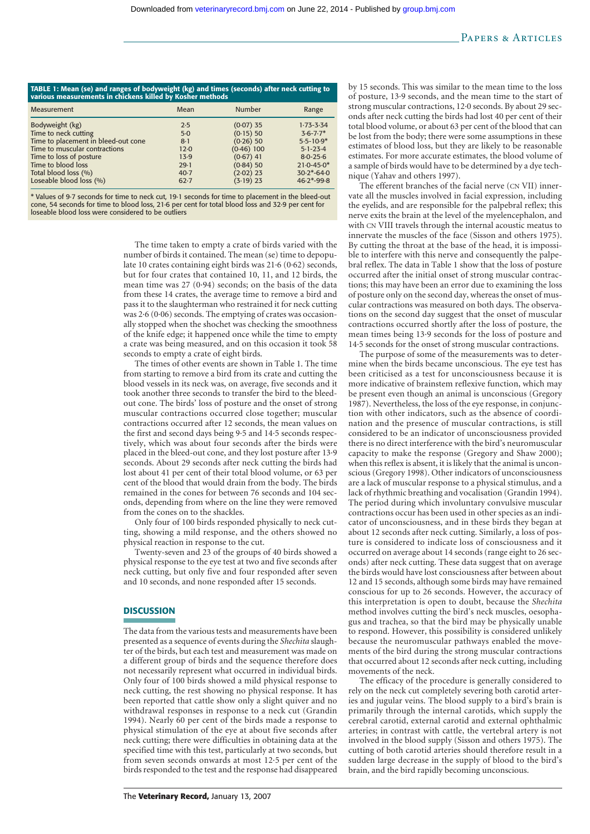#### **TABLE 1: Mean (se) and ranges of bodyweight (kg) and times (seconds) after neck cutting to various measurements in chickens killed by Kosher methods**

| <b>Measurement</b>                  | Mean     | Number       | Range          |
|-------------------------------------|----------|--------------|----------------|
| Bodyweight (kg)                     | 2.5      | $(0.07)$ 35  | $1.73 - 3.34$  |
| Time to neck cutting                | $5-0$    | $(0.15)$ 50  | $3.6 - 7.7*$   |
| Time to placement in bleed-out cone | $8-1$    | $(0.26)$ 50  | $5.5 - 10.9*$  |
| Time to muscular contractions       | 12.0     | $(0.46)$ 100 | $5.1 - 23.4$   |
| Time to loss of posture             | 13.9     | $(0.67)$ 41  | $8.0 - 25.6$   |
| Time to blood loss                  | 29.1     | $(0.84)$ 50  | $21.0 - 45.0*$ |
| Total blood loss (%)                | $40-7$   | $(2.02)$ 23  | $30.2*-64.0$   |
| Loseable blood loss (%)             | $62 - 7$ | $(3.19)$ 23  | $46.2*-99.8$   |

\* Values of 9·7 seconds for time to neck cut, 19·1 seconds for time to placement in the bleed-out cone, 54 seconds for time to blood loss, 21·6 per cent for total blood loss and 32·9 per cent for loseable blood loss were considered to be outliers

> The time taken to empty a crate of birds varied with the number of birds it contained. The mean (se) time to depopulate 10 crates containing eight birds was 21·6 (0·62) seconds, but for four crates that contained 10, 11, and 12 birds, the mean time was 27 (0·94) seconds; on the basis of the data from these 14 crates, the average time to remove a bird and pass it to the slaughterman who restrained it for neck cutting was 2·6 (0·06) seconds. The emptying of crates was occasionally stopped when the shochet was checking the smoothness of the knife edge; it happened once while the time to empty a crate was being measured, and on this occasion it took 58 seconds to empty a crate of eight birds.

> The times of other events are shown in Table 1. The time from starting to remove a bird from its crate and cutting the blood vessels in its neck was, on average, five seconds and it took another three seconds to transfer the bird to the bleedout cone. The birds' loss of posture and the onset of strong muscular contractions occurred close together; muscular contractions occurred after 12 seconds, the mean values on the first and second days being 9·5 and 14·5 seconds respectively, which was about four seconds after the birds were placed in the bleed-out cone, and they lost posture after 13·9 seconds. About 29 seconds after neck cutting the birds had lost about 41 per cent of their total blood volume, or 63 per cent of the blood that would drain from the body. The birds remained in the cones for between 76 seconds and 104 seconds, depending from where on the line they were removed from the cones on to the shackles.

> Only four of 100 birds responded physically to neck cutting, showing a mild response, and the others showed no physical reaction in response to the cut.

> Twenty-seven and 23 of the groups of 40 birds showed a physical response to the eye test at two and five seconds after neck cutting, but only five and four responded after seven and 10 seconds, and none responded after 15 seconds.

### **DISCUSSION**

The data from the various tests and measurements have been presented as a sequence of events during the *Shechita* slaughter of the birds, but each test and measurement was made on a different group of birds and the sequence therefore does not necessarily represent what occurred in individual birds. Only four of 100 birds showed a mild physical response to neck cutting, the rest showing no physical response. It has been reported that cattle show only a slight quiver and no withdrawal responses in response to a neck cut (Grandin 1994). Nearly 60 per cent of the birds made a response to physical stimulation of the eye at about five seconds after neck cutting; there were difficulties in obtaining data at the specified time with this test, particularly at two seconds, but from seven seconds onwards at most 12·5 per cent of the birds responded to the test and the response had disappeared

by 15 seconds. This was similar to the mean time to the loss of posture, 13·9 seconds, and the mean time to the start of strong muscular contractions, 12·0 seconds. By about 29 seconds after neck cutting the birds had lost 40 per cent of their total blood volume, or about 63 per cent of the blood that can be lost from the body; there were some assumptions in these estimates of blood loss, but they are likely to be reasonable estimates. For more accurate estimates, the blood volume of a sample of birds would have to be determined by a dye technique (Yahav and others 1997).

The efferent branches of the facial nerve (CN VII) innervate all the muscles involved in facial expression, including the eyelids, and are responsible for the palpebral reflex; this nerve exits the brain at the level of the myelencephalon, and with CN VIII travels through the internal acoustic meatus to innervate the muscles of the face (Sisson and others 1975). By cutting the throat at the base of the head, it is impossible to interfere with this nerve and consequently the palpebral reflex. The data in Table 1 show that the loss of posture occurred after the initial onset of strong muscular contractions; this may have been an error due to examining the loss of posture only on the second day, whereas the onset of muscular contractions was measured on both days. The observations on the second day suggest that the onset of muscular contractions occurred shortly after the loss of posture, the mean times being 13·9 seconds for the loss of posture and 14·5 seconds for the onset of strong muscular contractions.

The purpose of some of the measurements was to determine when the birds became unconscious. The eye test has been criticised as a test for unconsciousness because it is more indicative of brainstem reflexive function, which may be present even though an animal is unconscious (Gregory 1987). Nevertheless, the loss of the eye response, in conjunction with other indicators, such as the absence of coordination and the presence of muscular contractions, is still considered to be an indicator of unconsciousness provided there is no direct interference with the bird's neuromuscular capacity to make the response (Gregory and Shaw 2000); when this reflex is absent, it is likely that the animal is unconscious (Gregory 1998). Other indicators of unconsciousness are a lack of muscular response to a physical stimulus, and a lack of rhythmic breathing and vocalisation (Grandin 1994). The period during which involuntary convulsive muscular contractions occur has been used in other species as an indicator of unconsciousness, and in these birds they began at about 12 seconds after neck cutting. Similarly, a loss of posture is considered to indicate loss of consciousness and it occurred on average about 14 seconds (range eight to 26 seconds) after neck cutting. These data suggest that on average the birds would have lost consciousness after between about 12 and 15 seconds, although some birds may have remained conscious for up to 26 seconds. However, the accuracy of this interpretation is open to doubt, because the *Shechita* method involves cutting the bird's neck muscles, oesophagus and trachea, so that the bird may be physically unable to respond. However, this possibility is considered unlikely because the neuromuscular pathways enabled the movements of the bird during the strong muscular contractions that occurred about 12 seconds after neck cutting, including movements of the neck.

The efficacy of the procedure is generally considered to rely on the neck cut completely severing both carotid arteries and jugular veins. The blood supply to a bird's brain is primarily through the internal carotids, which supply the cerebral carotid, external carotid and external ophthalmic arteries; in contrast with cattle, the vertebral artery is not involved in the blood supply (Sisson and others 1975). The cutting of both carotid arteries should therefore result in a sudden large decrease in the supply of blood to the bird's brain, and the bird rapidly becoming unconscious.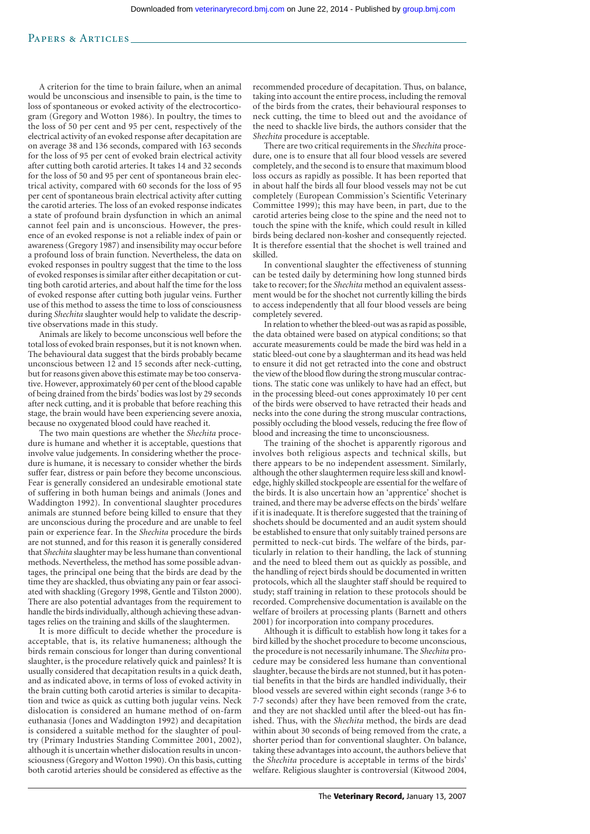A criterion for the time to brain failure, when an animal would be unconscious and insensible to pain, is the time to loss of spontaneous or evoked activity of the electrocorticogram (Gregory and Wotton 1986). In poultry, the times to the loss of 50 per cent and 95 per cent, respectively of the electrical activity of an evoked response after decapitation are on average 38 and 136 seconds, compared with 163 seconds for the loss of 95 per cent of evoked brain electrical activity after cutting both carotid arteries. It takes 14 and 32 seconds for the loss of 50 and 95 per cent of spontaneous brain electrical activity, compared with 60 seconds for the loss of 95 per cent of spontaneous brain electrical activity after cutting the carotid arteries. The loss of an evoked response indicates a state of profound brain dysfunction in which an animal cannot feel pain and is unconscious. However, the presence of an evoked response is not a reliable index of pain or awareness (Gregory 1987) and insensibility may occur before a profound loss of brain function. Nevertheless, the data on evoked responses in poultry suggest that the time to the loss of evoked responses is similar after either decapitation or cutting both carotid arteries, and about half the time for the loss of evoked response after cutting both jugular veins. Further use of this method to assess the time to loss of consciousness during *Shechita* slaughter would help to validate the descriptive observations made in this study.

Animals are likely to become unconscious well before the total loss of evoked brain responses, but it is not known when. The behavioural data suggest that the birds probably became unconscious between 12 and 15 seconds after neck-cutting, but for reasons given above this estimate may be too conservative. However, approximately 60 per cent of the blood capable of being drained from the birds' bodies was lost by 29 seconds after neck cutting, and it is probable that before reaching this stage, the brain would have been experiencing severe anoxia, because no oxygenated blood could have reached it.

The two main questions are whether the *Shechita* procedure is humane and whether it is acceptable, questions that involve value judgements. In considering whether the procedure is humane, it is necessary to consider whether the birds suffer fear, distress or pain before they become unconscious. Fear is generally considered an undesirable emotional state of suffering in both human beings and animals (Jones and Waddington 1992). In conventional slaughter procedures animals are stunned before being killed to ensure that they are unconscious during the procedure and are unable to feel pain or experience fear. In the *Shechita* procedure the birds are not stunned, and for this reason it is generally considered that *Shechita* slaughter may be less humane than conventional methods. Nevertheless, the method has some possible advantages, the principal one being that the birds are dead by the time they are shackled, thus obviating any pain or fear associated with shackling (Gregory 1998, Gentle and Tilston 2000). There are also potential advantages from the requirement to handle the birds individually, although achieving these advantages relies on the training and skills of the slaughtermen.

It is more difficult to decide whether the procedure is acceptable, that is, its relative humaneness; although the birds remain conscious for longer than during conventional slaughter, is the procedure relatively quick and painless? It is usually considered that decapitation results in a quick death, and as indicated above, in terms of loss of evoked activity in the brain cutting both carotid arteries is similar to decapitation and twice as quick as cutting both jugular veins. Neck dislocation is considered an humane method of on-farm euthanasia (Jones and Waddington 1992) and decapitation is considered a suitable method for the slaughter of poultry (Primary Industries Standing Committee 2001, 2002), although it is uncertain whether dislocation results in unconsciousness (Gregory and Wotton 1990). On this basis, cutting both carotid arteries should be considered as effective as the

recommended procedure of decapitation. Thus, on balance, taking into account the entire process, including the removal of the birds from the crates, their behavioural responses to neck cutting, the time to bleed out and the avoidance of the need to shackle live birds, the authors consider that the *Shechita* procedure is acceptable.

There are two critical requirements in the *Shechita* procedure, one is to ensure that all four blood vessels are severed completely, and the second is to ensure that maximum blood loss occurs as rapidly as possible. It has been reported that in about half the birds all four blood vessels may not be cut completely (European Commission's Scientific Veterinary Committee 1999); this may have been, in part, due to the carotid arteries being close to the spine and the need not to touch the spine with the knife, which could result in killed birds being declared non-kosher and consequently rejected. It is therefore essential that the shochet is well trained and skilled.

In conventional slaughter the effectiveness of stunning can be tested daily by determining how long stunned birds take to recover; for the *Shechita* method an equivalent assessment would be for the shochet not currently killing the birds to access independently that all four blood vessels are being completely severed.

In relation to whether the bleed-out was as rapid as possible, the data obtained were based on atypical conditions; so that accurate measurements could be made the bird was held in a static bleed-out cone by a slaughterman and its head was held to ensure it did not get retracted into the cone and obstruct the view of the blood flow during the strong muscular contractions. The static cone was unlikely to have had an effect, but in the processing bleed-out cones approximately 10 per cent of the birds were observed to have retracted their heads and necks into the cone during the strong muscular contractions, possibly occluding the blood vessels, reducing the free flow of blood and increasing the time to unconsciousness.

The training of the shochet is apparently rigorous and involves both religious aspects and technical skills, but there appears to be no independent assessment. Similarly, although the other slaughtermen require less skill and knowledge, highly skilled stockpeople are essential for the welfare of the birds. It is also uncertain how an 'apprentice' shochet is trained, and there may be adverse effects on the birds' welfare if it is inadequate. It is therefore suggested that the training of shochets should be documented and an audit system should be established to ensure that only suitably trained persons are permitted to neck-cut birds. The welfare of the birds, particularly in relation to their handling, the lack of stunning and the need to bleed them out as quickly as possible, and the handling of reject birds should be documented in written protocols, which all the slaughter staff should be required to study; staff training in relation to these protocols should be recorded. Comprehensive documentation is available on the welfare of broilers at processing plants (Barnett and others 2001) for incorporation into company procedures.

Although it is difficult to establish how long it takes for a bird killed by the shochet procedure to become unconscious, the procedure is not necessarily inhumane. The *Shechita* procedure may be considered less humane than conventional slaughter, because the birds are not stunned, but it has potential benefits in that the birds are handled individually, their blood vessels are severed within eight seconds (range 3·6 to 7·7 seconds) after they have been removed from the crate, and they are not shackled until after the bleed-out has finished. Thus, with the *Shechita* method, the birds are dead within about 30 seconds of being removed from the crate, a shorter period than for conventional slaughter. On balance, taking these advantages into account, the authors believe that the *Shechita* procedure is acceptable in terms of the birds' welfare. Religious slaughter is controversial (Kitwood 2004,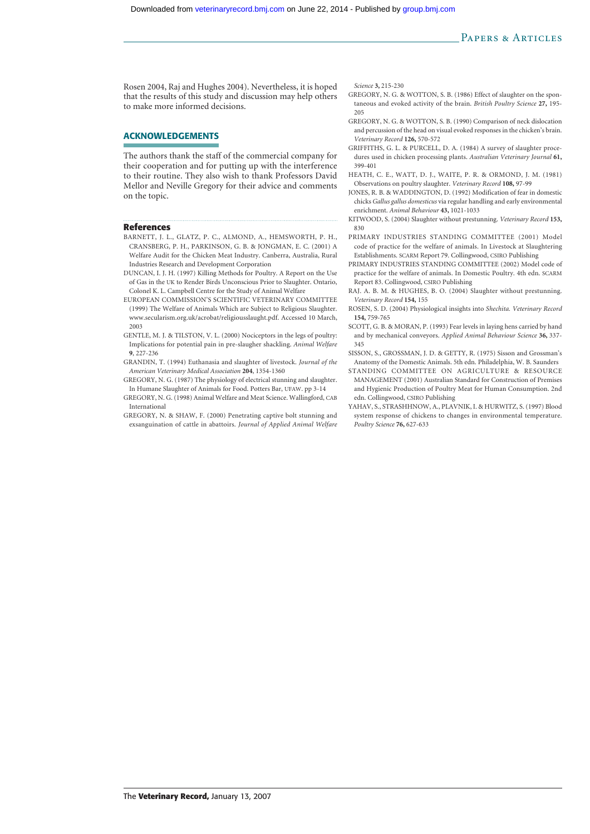Rosen 2004, Raj and Hughes 2004). Nevertheless, it is hoped that the results of this study and discussion may help others to make more informed decisions.

## **ACKNOWLEDGEMENTS**

The authors thank the staff of the commercial company for their cooperation and for putting up with the interference to their routine. They also wish to thank Professors David Mellor and Neville Gregory for their advice and comments on the topic.

#### **References**

- BARNETT, J. L., GLATZ, P. C., ALMOND, A., HEMSWORTH, P. H., CRANSBERG, P. H., PARKINSON, G. B. & JONGMAN, E. C. (2001) A Welfare Audit for the Chicken Meat Industry. Canberra, Australia, Rural Industries Research and Development Corporation
- DUNCAN, I. J. H. (1997) Killing Methods for Poultry. A Report on the Use of Gas in the UK to Render Birds Unconscious Prior to Slaughter. Ontario, Colonel K. L. Campbell Centre for the Study of Animal Welfare
- EUROPEAN COMMISSION'S SCIENTIFIC VETERINARY COMMITTEE (1999) The Welfare of Animals Which are Subject to Religious Slaughter. www.secularism.org.uk/acrobat/religiousslaught.pdf. Accessed 10 March, 2003
- GENTLE, M. J. & TILSTON, V. L. (2000) Nociceptors in the legs of poultry: Implications for potential pain in pre-slaugher shackling. *Animal Welfare* **9**, 227-236
- GRANDIN, T. (1994) Euthanasia and slaughter of livestock. *Journal of the American Veterinary Medical Association* **204**, 1354-1360
- GREGORY, N. G. (1987) The physiology of electrical stunning and slaughter. In Humane Slaughter of Animals for Food. Potters Bar, UFAW. pp 3-14
- GREGORY, N. G. (1998) Animal Welfare and Meat Science. Wallingford, CAB International
- GREGORY, N. & SHAW, F. (2000) Penetrating captive bolt stunning and exsanguination of cattle in abattoirs. *Journal of Applied Animal Welfare*

*Science* **3,** 215-230

- GREGORY, N. G. & WOTTON, S. B. (1986) Effect of slaughter on the spontaneous and evoked activity of the brain. *British Poultry Science* **27,** 195- 205
- GREGORY, N. G. & WOTTON, S. B. (1990) Comparison of neck dislocation and percussion of the head on visual evoked responses in the chicken's brain. *Veterinary Record* **126,** 570-572
- GRIFFITHS, G. L. & PURCELL, D. A. (1984) A survey of slaughter procedures used in chicken processing plants. *Australian Veterinary Journal* **61,** 399-401
- HEATH, C. E., WATT, D. J., WAITE, P. R. & ORMOND, J. M. (1981) Observations on poultry slaughter. *Veterinary Record* **108,** 97-99
- JONES, R. B. & WADDINGTON, D. (1992) Modification of fear in domestic chicks *Gallus gallus domesticus* via regular handling and early environmental enrichment. *Animal Behaviour* **43,** 1021-1033
- KITWOOD, S. (2004) Slaughter without prestunning. *Veterinary Record* **153,** 830
- PRIMARY INDUSTRIES STANDING COMMITTEE (2001) Model code of practice for the welfare of animals. In Livestock at Slaughtering Establishments. SCARM Report 79. Collingwood, CSIRO Publishing
- PRIMARY INDUSTRIES STANDING COMMITTEE (2002) Model code of practice for the welfare of animals. In Domestic Poultry. 4th edn. SCARM Report 83. Collingwood, CSIRO Publishing
- RAJ. A. B. M. & HUGHES, B. O. (2004) Slaughter without prestunning. *Veterinary Record* **154,** 155
- ROSEN, S. D. (2004) Physiological insights into *Shechita. Veterinary Record* **154,** 759-765
- SCOTT, G. B. & MORAN, P. (1993) Fear levels in laying hens carried by hand and by mechanical conveyors. *Applied Animal Behaviour Science* **36,** 337- 345
- SISSON, S., GROSSMAN, J. D. & GETTY, R. (1975) Sisson and Grossman's Anatomy of the Domestic Animals. 5th edn. Philadelphia, W. B. Saunders
- STANDING COMMITTEE ON AGRICULTURE & RESOURCE MANAGEMENT (2001) Australian Standard for Construction of Premises and Hygienic Production of Poultry Meat for Human Consumption. 2nd edn. Collingwood, CSIRO Publishing
- YAHAV, S., STRASHHNOW, A., PLAVNIK, I. & HURWITZ, S. (1997) Blood system response of chickens to changes in environmental temperature. *Poultry Science* **76,** 627-633